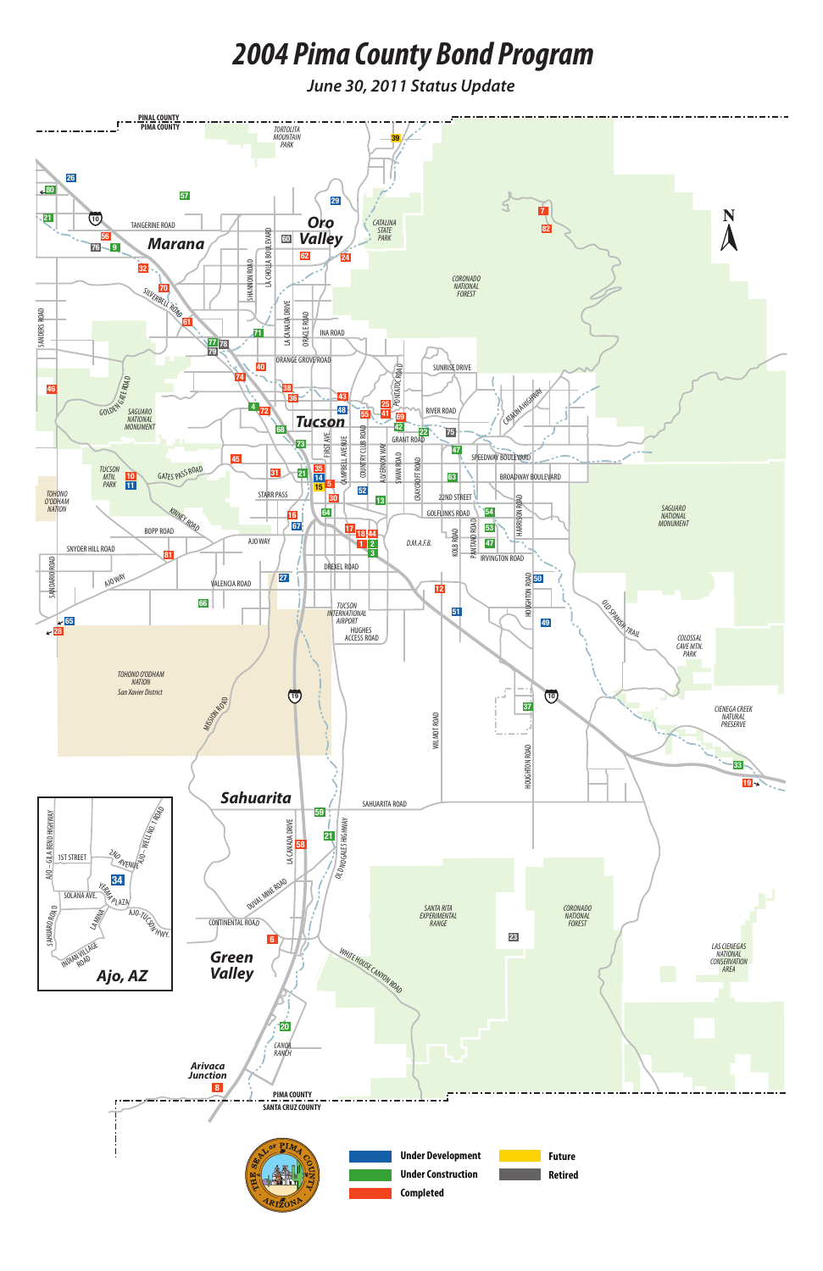

# *2004 Pima County Bond Program*

*June 30, 2011 Status Update*